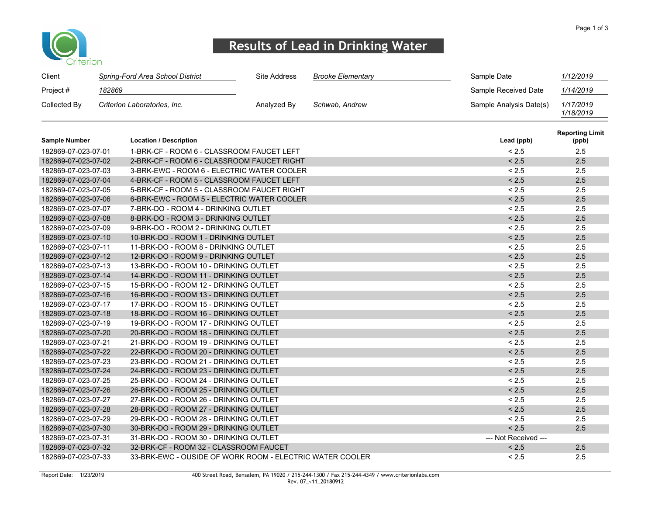

## Results of Lead in Drinking Water

| Client       | Spring-Ford Area School District | Site Address | Brooke Elementarv | Sample Date             | 1/12/2019              |
|--------------|----------------------------------|--------------|-------------------|-------------------------|------------------------|
| Project #    | 182869                           |              |                   | Sample Received Date    | 1/14/2019              |
| Collected By | Criterion Laboratories, Inc.     | Analyzed By  | Schwab, Andrew    | Sample Analysis Date(s) | 1/17/2019<br>1/18/2019 |

| <b>Sample Number</b> | <b>Location / Description</b>                            | Lead (ppb)           | <b>Reporting Limit</b><br>(ppb) |
|----------------------|----------------------------------------------------------|----------------------|---------------------------------|
| 182869-07-023-07-01  | 1-BRK-CF - ROOM 6 - CLASSROOM FAUCET LEFT                | < 2.5                | 2.5                             |
| 182869-07-023-07-02  | 2-BRK-CF - ROOM 6 - CLASSROOM FAUCET RIGHT               | < 2.5                | 2.5                             |
| 182869-07-023-07-03  | 3-BRK-EWC - ROOM 6 - ELECTRIC WATER COOLER               | < 2.5                | 2.5                             |
| 182869-07-023-07-04  | 4-BRK-CF - ROOM 5 - CLASSROOM FAUCET LEFT                | < 2.5                | 2.5                             |
| 182869-07-023-07-05  | 5-BRK-CF - ROOM 5 - CLASSROOM FAUCET RIGHT               | < 2.5                | 2.5                             |
| 182869-07-023-07-06  | 6-BRK-EWC - ROOM 5 - ELECTRIC WATER COOLER               | < 2.5                | 2.5                             |
| 182869-07-023-07-07  | 7-BRK-DO - ROOM 4 - DRINKING OUTLET                      | < 2.5                | 2.5                             |
| 182869-07-023-07-08  | 8-BRK-DO - ROOM 3 - DRINKING OUTLET                      | < 2.5                | 2.5                             |
| 182869-07-023-07-09  | 9-BRK-DO - ROOM 2 - DRINKING OUTLET                      | < 2.5                | 2.5                             |
| 182869-07-023-07-10  | 10-BRK-DO - ROOM 1 - DRINKING OUTLET                     | < 2.5                | 2.5                             |
| 182869-07-023-07-11  | 11-BRK-DO - ROOM 8 - DRINKING OUTLET                     | < 2.5                | 2.5                             |
| 182869-07-023-07-12  | 12-BRK-DO - ROOM 9 - DRINKING OUTLET                     | < 2.5                | 2.5                             |
| 182869-07-023-07-13  | 13-BRK-DO - ROOM 10 - DRINKING OUTLET                    | < 2.5                | 2.5                             |
| 182869-07-023-07-14  | 14-BRK-DO - ROOM 11 - DRINKING OUTLET                    | < 2.5                | 2.5                             |
| 182869-07-023-07-15  | 15-BRK-DO - ROOM 12 - DRINKING OUTLET                    | < 2.5                | 2.5                             |
| 182869-07-023-07-16  | 16-BRK-DO - ROOM 13 - DRINKING OUTLET                    | < 2.5                | 2.5                             |
| 182869-07-023-07-17  | 17-BRK-DO - ROOM 15 - DRINKING OUTLET                    | < 2.5                | 2.5                             |
| 182869-07-023-07-18  | 18-BRK-DO - ROOM 16 - DRINKING OUTLET                    | < 2.5                | 2.5                             |
| 182869-07-023-07-19  | 19-BRK-DO - ROOM 17 - DRINKING OUTLET                    | < 2.5                | 2.5                             |
| 182869-07-023-07-20  | 20-BRK-DO - ROOM 18 - DRINKING OUTLET                    | < 2.5                | 2.5                             |
| 182869-07-023-07-21  | 21-BRK-DO - ROOM 19 - DRINKING OUTLET                    | < 2.5                | 2.5                             |
| 182869-07-023-07-22  | 22-BRK-DO - ROOM 20 - DRINKING OUTLET                    | < 2.5                | 2.5                             |
| 182869-07-023-07-23  | 23-BRK-DO - ROOM 21 - DRINKING OUTLET                    | < 2.5                | 2.5                             |
| 182869-07-023-07-24  | 24-BRK-DO - ROOM 23 - DRINKING OUTLET                    | < 2.5                | 2.5                             |
| 182869-07-023-07-25  | 25-BRK-DO - ROOM 24 - DRINKING OUTLET                    | < 2.5                | 2.5                             |
| 182869-07-023-07-26  | 26-BRK-DO - ROOM 25 - DRINKING OUTLET                    | < 2.5                | 2.5                             |
| 182869-07-023-07-27  | 27-BRK-DO - ROOM 26 - DRINKING OUTLET                    | < 2.5                | 2.5                             |
| 182869-07-023-07-28  | 28-BRK-DO - ROOM 27 - DRINKING OUTLET                    | < 2.5                | 2.5                             |
| 182869-07-023-07-29  | 29-BRK-DO - ROOM 28 - DRINKING OUTLET                    | < 2.5                | 2.5                             |
| 182869-07-023-07-30  | 30-BRK-DO - ROOM 29 - DRINKING OUTLET                    | < 2.5                | 2.5                             |
| 182869-07-023-07-31  | 31-BRK-DO - ROOM 30 - DRINKING OUTLET                    | --- Not Received --- |                                 |
| 182869-07-023-07-32  | 32-BRK-CF - ROOM 32 - CLASSROOM FAUCET                   | < 2.5                | 2.5                             |
| 182869-07-023-07-33  | 33-BRK-EWC - OUSIDE OF WORK ROOM - ELECTRIC WATER COOLER | < 2.5                | 2.5                             |